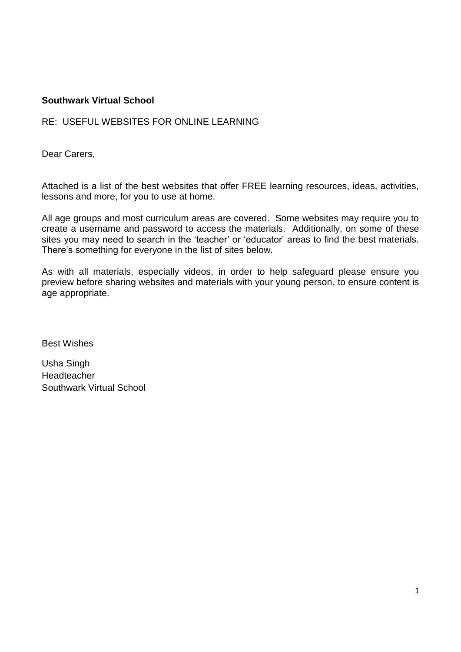#### **Southwark Virtual School**

#### RE: USEFUL WEBSITES FOR ONLINE LEARNING

Dear Carers,

Attached is a list of the best websites that offer FREE learning resources, ideas, activities, lessons and more, for you to use at home.

All age groups and most curriculum areas are covered. Some websites may require you to create a username and password to access the materials. Additionally, on some of these sites you may need to search in the 'teacher' or 'educator' areas to find the best materials. There's something for everyone in the list of sites below.

As with all materials, especially videos, in order to help safeguard please ensure you preview before sharing websites and materials with your young person, to ensure content is age appropriate.

Best Wishes

Usha Singh Headteacher Southwark Virtual School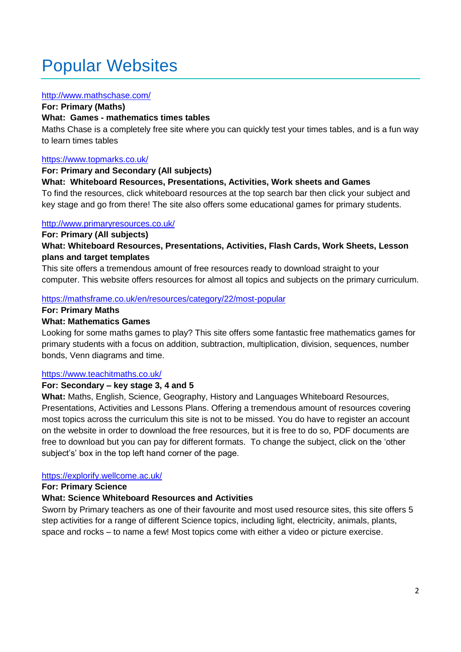### Popular Websites

#### <http://www.mathschase.com/>

**For: Primary (Maths)**

#### **What: Games - mathematics times tables**

Maths Chase is a completely free site where you can quickly test your times tables, and is a fun way to learn times tables

#### <https://www.topmarks.co.uk/>

#### **For: Primary and Secondary (All subjects)**

#### **What: Whiteboard Resources, Presentations, Activities, Work sheets and Games**

To find the resources, click whiteboard resources at the top search bar then click your subject and key stage and go from there! The site also offers some educational games for primary students.

#### <http://www.primaryresources.co.uk/>

#### **For: Primary (All subjects)**

**What: Whiteboard Resources, Presentations, Activities, Flash Cards, Work Sheets, Lesson plans and target templates**

This site offers a tremendous amount of free resources ready to download straight to your computer. This website offers resources for almost all topics and subjects on the primary curriculum.

#### <https://mathsframe.co.uk/en/resources/category/22/most-popular>

#### **For: Primary Maths**

#### **What: Mathematics Games**

Looking for some maths games to play? This site offers some fantastic free mathematics games for primary students with a focus on addition, subtraction, multiplication, division, sequences, number bonds, Venn diagrams and time.

#### <https://www.teachitmaths.co.uk/>

#### **For: Secondary – key stage 3, 4 and 5**

**What:** Maths, English, Science, Geography, History and Languages Whiteboard Resources, Presentations, Activities and Lessons Plans. Offering a tremendous amount of resources covering most topics across the curriculum this site is not to be missed. You do have to register an account on the website in order to download the free resources, but it is free to do so, PDF documents are free to download but you can pay for different formats. To change the subject, click on the 'other subject's' box in the top left hand corner of the page.

#### <https://explorify.wellcome.ac.uk/>

**For: Primary Science**

#### **What: Science Whiteboard Resources and Activities**

Sworn by Primary teachers as one of their favourite and most used resource sites, this site offers 5 step activities for a range of different Science topics, including light, electricity, animals, plants, space and rocks – to name a few! Most topics come with either a video or picture exercise.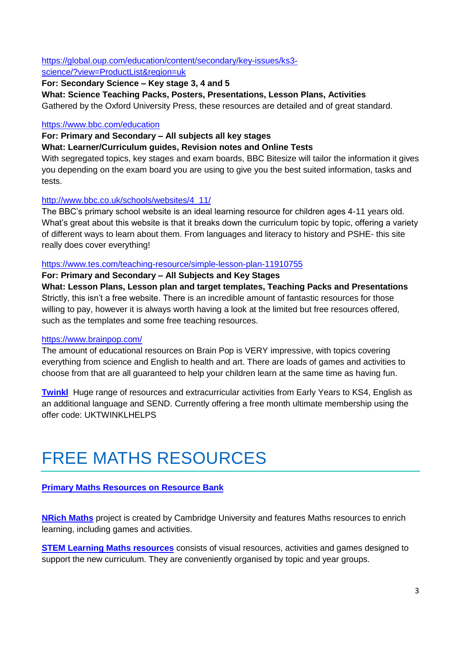#### [https://global.oup.com/education/content/secondary/key-issues/ks3](https://global.oup.com/education/content/secondary/key-issues/ks3-science/?view=ProductList®ion=uk) [science/?view=ProductList&region=uk](https://global.oup.com/education/content/secondary/key-issues/ks3-science/?view=ProductList®ion=uk)

#### **For: Secondary Science – Key stage 3, 4 and 5**

**What: Science Teaching Packs, Posters, Presentations, Lesson Plans, Activities**

Gathered by the Oxford University Press, these resources are detailed and of great standard.

#### <https://www.bbc.com/education>

#### **For: Primary and Secondary – All subjects all key stages**

#### **What: Learner/Curriculum guides, Revision notes and Online Tests**

With segregated topics, key stages and exam boards, BBC Bitesize will tailor the information it gives you depending on the exam board you are using to give you the best suited information, tasks and tests.

#### [http://www.bbc.co.uk/schools/websites/4\\_11/](http://www.bbc.co.uk/schools/websites/4_11/)

The BBC's primary school website is an ideal learning resource for children ages 4-11 years old. What's great about this website is that it breaks down the curriculum topic by topic, offering a variety of different ways to learn about them. From languages and literacy to history and PSHE- this site really does cover everything!

#### <https://www.tes.com/teaching-resource/simple-lesson-plan-11910755>

#### **For: Primary and Secondary – All Subjects and Key Stages**

**What: Lesson Plans, Lesson plan and target templates, Teaching Packs and Presentations** Strictly, this isn't a free website. There is an incredible amount of fantastic resources for those willing to pay, however it is always worth having a look at the limited but free resources offered, such as the templates and some free teaching resources.

#### <https://www.brainpop.com/>

The amount of educational resources on Brain Pop is VERY impressive, with topics covering everything from science and English to health and art. There are loads of games and activities to choose from that are all guaranteed to help your children learn at the same time as having fun.

**Twinkl** Huge range of resources and extracurricular activities from Early Years to KS4, English as an additional language and SEND. Currently offering a free month ultimate membership using the offer code: UKTWINKLHELPS

### FREE MATHS RESOURCES

#### **[Primary Maths Resources on Resource Bank](https://resource-bank.scholastic.co.uk/search/search?age_type=key_stages&breadcrumb%5B%5D=subscriber_only&breadcrumb%5B%5D=mag_id&search%5Bmag_id%5D=76680&search%5Border_by%5D=newest&search%5Bsubscriber_only%5D=f&search%5Btaxonomy_id%5D%5B%5D=152)**

**[NRich Maths](https://nrich.maths.org/frontpage)** project is created by Cambridge University and features Maths resources to enrich learning, including games and activities.

**STEM [Learning Maths resources](https://www.stem.org.uk/primary-maths)** consists of visual resources, activities and games designed to support the new curriculum. They are conveniently organised by topic and year groups.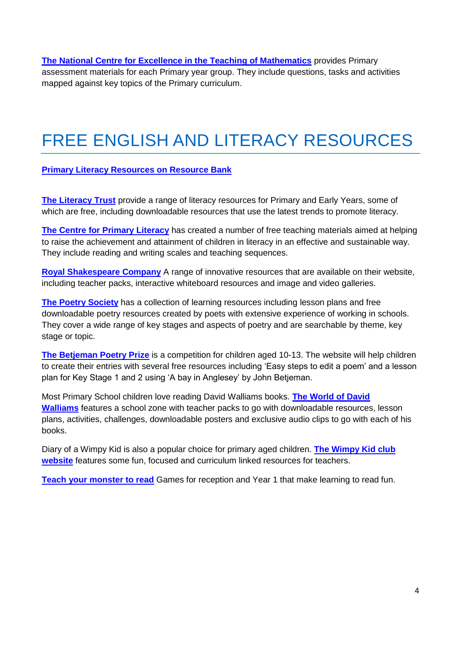**[The National Centre for Excellence in the Teaching of Mathematics](https://www.ncetm.org.uk/resources/46689)** provides Primary assessment materials for each Primary year group. They include questions, tasks and activities mapped against key topics of the Primary curriculum.

## FREE ENGLISH AND LITERACY RESOURCES

#### **[Primary Literacy Resources on Resource Bank](https://resource-bank.scholastic.co.uk/search/search?age_type=key_stages&breadcrumb%5B%5D=subscriber_only&breadcrumb%5B%5D=mag_id&breadcrumb%5B%5D=taxonomy_id&breadcrumb%5B%5D=taxonomy_id&search%5Bmag_id%5D=76680&search%5Border_by%5D=newest&search%5Bsubscriber_only%5D=f&search%5Btaxonomy_id%5D%5B%5D=128)**

**[The Literacy Trust](https://literacytrust.org.uk/free-resources/)** provide a range of literacy resources for Primary and Early Years, some of which are free, including downloadable resources that use the latest trends to promote literacy.

**[The Centre for Primary Literacy](https://clpe.org.uk/library-and-resources)** has created a number of free teaching materials aimed at helping to raise the achievement and attainment of children in literacy in an effective and sustainable way. They include reading and writing scales and teaching sequences.

**[Royal Shakespeare Company](https://www.rsc.org.uk/education/teacher-resources)** A range of innovative resources that are available on their website, including teacher packs, interactive whiteboard resources and image and video galleries.

**[The Poetry Society](http://resources.poetrysociety.org.uk/)** has a collection of learning resources including lesson plans and free downloadable poetry resources created by poets with extensive experience of working in schools. They cover a wide range of key stages and aspects of poetry and are searchable by theme, key stage or topic.

**[The Betjeman Poetry Prize](https://www.betjemanpoetryprize.co.uk/resources)** is a competition for children aged 10-13. The website will help children to create their entries with several free resources including 'Easy steps to edit a poem' and a lesson plan for Key Stage 1 and 2 using 'A bay in Anglesey' by John Betjeman.

Most Primary School children love reading David Walliams books. **[The World of David](https://www.worldofdavidwalliams.com/schoolzone/)  [Walliams](https://www.worldofdavidwalliams.com/schoolzone/)** features a school zone with teacher packs to go with downloadable resources, lesson plans, activities, challenges, downloadable posters and exclusive audio clips to go with each of his books.

Diary of a Wimpy Kid is also a popular choice for primary aged children. **[The Wimpy Kid club](https://www.wimpykidclub.co.uk/teachers-resources/)  [website](https://www.wimpykidclub.co.uk/teachers-resources/)** features some fun, focused and curriculum linked resources for teachers.

**[Teach your monster to read](https://www.teachyourmonstertoread.com/)** Games for reception and Year 1 that make learning to read fun.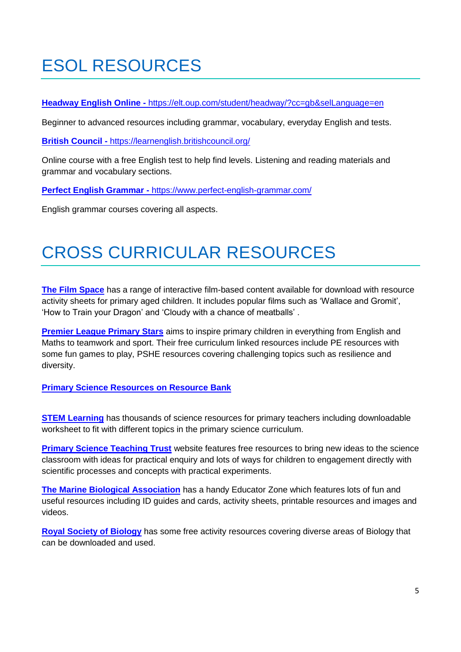# ESOL RESOURCES

**Headway English Online -** <https://elt.oup.com/student/headway/?cc=gb&selLanguage=en>

Beginner to advanced resources including grammar, vocabulary, everyday English and tests.

**British Council -** <https://learnenglish.britishcouncil.org/>

Online course with a free English test to help find levels. Listening and reading materials and grammar and vocabulary sections.

**Perfect English Grammar -** <https://www.perfect-english-grammar.com/>

English grammar courses covering all aspects.

## CROSS CURRICULAR RESOURCES

**[The Film Space](http://www.thefilmspace.org/library-for-primary/)** has a range of interactive film-based content available for download with resource activity sheets for primary aged children. It includes popular films such as 'Wallace and Gromit', 'How to Train your Dragon' and 'Cloudy with a chance of meatballs' .

**[Premier League Primary Stars](https://plprimarystars.com/)** aims to inspire primary children in everything from English and Maths to teamwork and sport. Their free curriculum linked resources include PE resources with some fun games to play, PSHE resources covering challenging topics such as resilience and diversity.

#### **[Primary Science Resources on Resource Bank](https://resource-bank.scholastic.co.uk/search/search?age_type=key_stages&breadcrumb%5B%5D=subscriber_only&breadcrumb%5B%5D=mag_id&breadcrumb%5B%5D=taxonomy_id&breadcrumb%5B%5D=taxonomy_id&search%5Bmag_id%5D=76680&search%5Border_by%5D=newest&search%5Bsubscriber_only%5D=f&search%5Btaxonomy_id%5D%5B%5D=180)**

**STEM [Learning](https://www.stem.org.uk/resources)** has thousands of science resources for primary teachers including downloadable worksheet to fit with different topics in the primary science curriculum.

**[Primary Science Teaching Trust](https://pstt.org.uk/resources)** website features free resources to bring new ideas to the science classroom with ideas for practical enquiry and lots of ways for children to engagement directly with scientific processes and concepts with practical experiments.

**[The Marine Biological Association](https://www.mba.ac.uk/learning-zone#b32)** has a handy Educator Zone which features lots of fun and useful resources including ID guides and cards, activity sheets, printable resources and images and videos.

**[Royal Society of Biology](https://www.rsb.org.uk/index.php/education/teaching-resources/primary-schools)** has some free activity resources covering diverse areas of Biology that can be downloaded and used.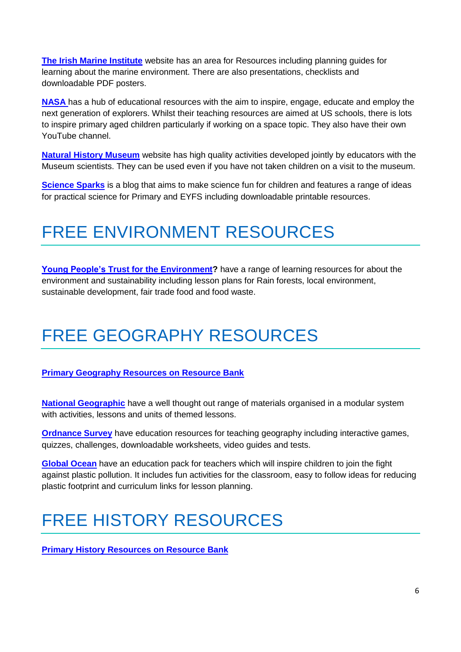**[The Irish Marine Institute](https://www.marine.ie/Home/site-area/areas-activity/education-outreach/teachers-resources)** website has an area for Resources including planning guides for learning about the marine environment. There are also presentations, checklists and downloadable PDF posters.

**[NASA](https://www.nasa.gov/stem/foreducators)** has a hub of educational resources with the aim to inspire, engage, educate and employ the next generation of explorers. Whilst their teaching resources are aimed at US schools, there is lots to inspire primary aged children particularly if working on a space topic. They also have their own YouTube channel.

**[Natural History Museum](https://www.nhm.ac.uk/schools/teaching-resources.html)** website has high quality activities developed jointly by educators with the Museum scientists. They can be used even if you have not taken children on a visit to the museum.

**[Science Sparks](https://www.science-sparks.com/)** is a blog that aims to make science fun for children and features a range of ideas for practical science for Primary and EYFS including downloadable printable resources.

### FREE ENVIRONMENT RESOURCES

**[Young People's Trust for the Environment?](http://ypte.org.uk/lesson-plans)** have a range of learning resources for about the environment and sustainability including lesson plans for Rain forests, local environment, sustainable development, fair trade food and food waste.

### FREE GEOGRAPHY RESOURCES

#### **[Primary Geography Resources on Resource Bank](https://resource-bank.scholastic.co.uk/search/search?age_type=key_stages&breadcrumb%5B%5D=subscriber_only&breadcrumb%5B%5D=mag_id&breadcrumb%5B%5D=taxonomy_id&breadcrumb%5B%5D=taxonomy_id&search%5Bmag_id%5D=76680&search%5Border_by%5D=newest&search%5Bsubscriber_only%5D=f&search%5Btaxonomy_id%5D%5B%5D=214)**

**[National Geographic](https://www.nationalgeographic.org/education/classroom-resources/)** have a well thought out range of materials organised in a modular system with activities, lessons and units of themed lessons.

**[Ordnance Survey](https://www.ordnancesurvey.co.uk/education/)** have education resources for teaching geography including interactive games, quizzes, challenges, downloadable worksheets, video guides and tests.

**[Global Ocean](http://www.globalocean.org.uk/resources)** have an education pack for teachers which will inspire children to join the fight against plastic pollution. It includes fun activities for the classroom, easy to follow ideas for reducing plastic footprint and curriculum links for lesson planning.

### FREE HISTORY RESOURCES

**[Primary History Resources on Resource Bank](https://resource-bank.scholastic.co.uk/search/search?age_type=key_stages&breadcrumb%5B%5D=subscriber_only&breadcrumb%5B%5D=mag_id&breadcrumb%5B%5D=taxonomy_id&breadcrumb%5B%5D=taxonomy_id&search%5Bmag_id%5D=76680&search%5Border_by%5D=newest&search%5Bsubscriber_only%5D=f&search%5Btaxonomy_id%5D%5B%5D=217)**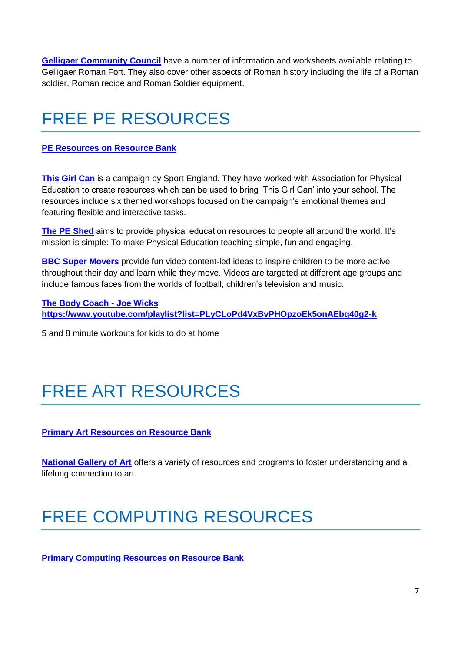**[Gelligaer Community Council](http://www.caerphilly.gov.uk/romanfort/en/learning_zone/teachers_resources.html)** have a number of information and worksheets available relating to Gelligaer Roman Fort. They also cover other aspects of Roman history including the life of a Roman soldier, Roman recipe and Roman Soldier equipment.

## FREE PE RESOURCES

#### **[PE Resources on Resource Bank](https://resource-bank.scholastic.co.uk/search/search?age_type=key_stages&breadcrumb%5B%5D=subscriber_only&breadcrumb%5B%5D=mag_id&breadcrumb%5B%5D=taxonomy_id&breadcrumb%5B%5D=taxonomy_id&search%5Bmag_id%5D=76680&search%5Border_by%5D=newest&search%5Bsubscriber_only%5D=f&search%5Btaxonomy_id%5D%5B%5D=387)**

**[This Girl Can](http://www.afpe.org.uk/physical-education/this-girl-can-resources-for-schools/)** is a campaign by Sport England. They have worked with Association for Physical Education to create resources which can be used to bring 'This Girl Can' into your school. The resources include six themed workshops focused on the campaign's emotional themes and featuring flexible and interactive tasks.

**[The PE Shed](https://www.thepeshed.com/)** aims to provide physical education resources to people all around the world. It's mission is simple: To make Physical Education teaching simple, fun and engaging.

**BBC [Super Movers](https://www.bbc.co.uk/teach/supermovers)** provide fun video content-led ideas to inspire children to be more active throughout their day and learn while they move. Videos are targeted at different age groups and include famous faces from the worlds of football, children's television and music.

**The Body Coach - Joe Wicks https://www.youtube.com/playlist?list=PLyCLoPd4VxBvPHOpzoEk5onAEbq40g2-k**

5 and 8 minute workouts for kids to do at home

# FREE ART RESOURCES

**[Primary Art Resources on Resource Bank](https://resource-bank.scholastic.co.uk/search/search?age_type=key_stages&breadcrumb%5B%5D=subscriber_only&breadcrumb%5B%5D=mag_id&breadcrumb%5B%5D=taxonomy_id&breadcrumb%5B%5D=taxonomy_id&search%5Bmag_id%5D=76680&search%5Border_by%5D=newest&search%5Bsubscriber_only%5D=f&search%5Btaxonomy_id%5D%5B%5D=83)**

**[National Gallery of Art](https://www.nga.gov/education/teachers.html)** offers a variety of resources and programs to foster understanding and a lifelong connection to art.

### FREE COMPUTING RESOURCES

**[Primary Computing Resources on Resource Bank](https://resource-bank.scholastic.co.uk/search/search?age_type=key_stages&breadcrumb%5B%5D=subscriber_only&breadcrumb%5B%5D=mag_id&breadcrumb%5B%5D=taxonomy_id&breadcrumb%5B%5D=taxonomy_id&search%5Bmag_id%5D=76680&search%5Border_by%5D=newest&search%5Bsubscriber_only%5D=f&search%5Btaxonomy_id%5D%5B%5D=252)**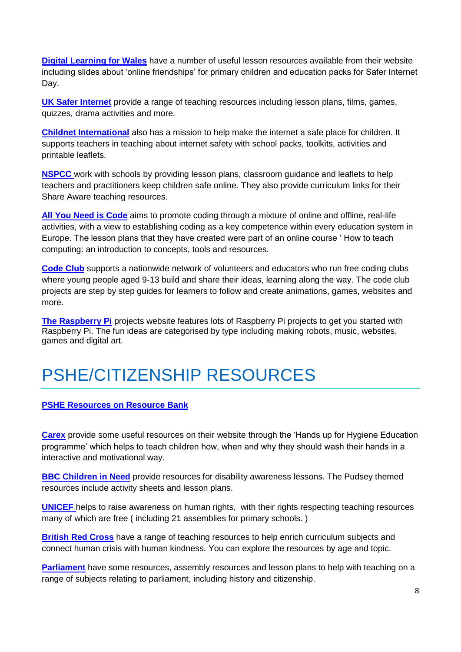**[Digital Learning for Wales](https://hwb.gov.wales/repository/tree?sort=created&language=en)** have a number of useful lesson resources available from their website including slides about 'online friendships' for primary children and education packs for Safer Internet Day.

**[UK Safer Internet](https://www.saferinternet.org.uk/advice-centre/teachers-and-school-staff/teaching-resources)** provide a range of teaching resources including lesson plans, films, games, quizzes, drama activities and more.

**[Childnet International](https://www.childnet.com/RESOURCES)** also has a mission to help make the internet a safe place for children. It supports teachers in teaching about internet safety with school packs, toolkits, activities and printable leaflets.

**[NSPCC](https://learning.nspcc.org.uk/research-resources/schools/share-aware-teaching/)** work with schools by providing lesson plans, classroom guidance and leaflets to help teachers and practitioners keep children safe online. They also provide curriculum links for their Share Aware teaching resources.

**[All You Need is Code](http://www.allyouneediscode.eu/lesson-plans)** aims to promote coding through a mixture of online and offline, real-life activities, with a view to establishing coding as a key competence within every education system in Europe. The lesson plans that they have created were part of an online course ' How to teach computing: an introduction to concepts, tools and resources.

**[Code Club](https://codeclubprojects.org/)** supports a nationwide network of volunteers and educators who run free coding clubs where young people aged 9-13 build and share their ideas, learning along the way. The code club projects are step by step guides for learners to follow and create animations, games, websites and more.

**[The Raspberry Pi](https://projects.raspberrypi.org/en/)** projects website features lots of Raspberry Pi projects to get you started with Raspberry Pi. The fun ideas are categorised by type including making robots, music, websites, games and digital art.

### PSHE/CITIZENSHIP RESOURCES

#### **PSHE [Resources on Resource Bank](https://resource-bank.scholastic.co.uk/search/search?age_type=key_stages&breadcrumb%5B%5D=subscriber_only&breadcrumb%5B%5D=mag_id&breadcrumb%5B%5D=taxonomy_id&breadcrumb%5B%5D=taxonomy_id&search%5Bmag_id%5D=76680&search%5Border_by%5D=newest&search%5Bsubscriber_only%5D=f&search%5Btaxonomy_id%5D%5B%5D=361)**

**[Carex](https://www.carex.co.uk/teacher-zone)** provide some useful resources on their website through the 'Hands up for Hygiene Education programme' which helps to teach children how, when and why they should wash their hands in a interactive and motivational way.

**BBC [Children in Need](http://www.bbc.co.uk/corporate2/childreninneed)** provide resources for disability awareness lessons. The Pudsey themed resources include activity sheets and lesson plans.

**[UNICEF](https://www.unicef.org.uk/rights-respecting-schools/resources/teaching-resources/)** helps to raise awareness on human rights, with their rights respecting teaching resources many of which are free ( including 21 assemblies for primary schools. )

**[British Red Cross](https://www.redcross.org.uk/get-involved/teaching-resources)** have a range of teaching resources to help enrich curriculum subjects and connect human crisis with human kindness. You can explore the resources by age and topic.

**[Parliament](https://www.parliament.uk/education/teaching-resources-lesson-plans/)** have some resources, assembly resources and lesson plans to help with teaching on a range of subjects relating to parliament, including history and citizenship.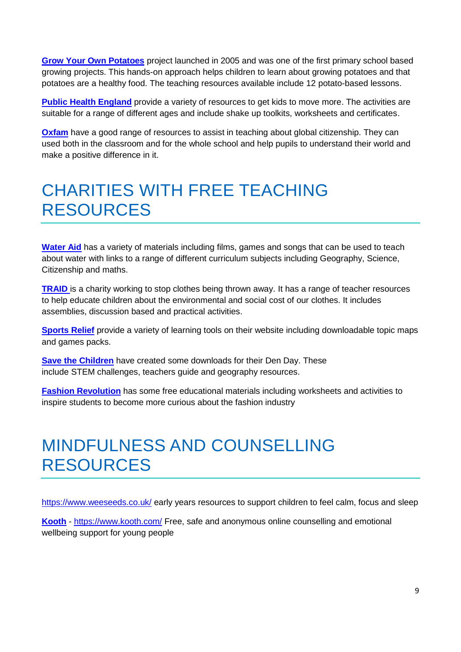**[Grow Your Own Potatoes](https://growyourownpotatoes.org.uk/teaching/)** project launched in 2005 and was one of the first primary school based growing projects. This hands-on approach helps children to learn about growing potatoes and that potatoes are a healthy food. The teaching resources available include 12 potato-based lessons.

**[Public Health England](https://campaignresources.phe.gov.uk/schools/topics/being-active/overview)** provide a variety of resources to get kids to move more. The activities are suitable for a range of different ages and include shake up toolkits, worksheets and certificates.

**[Oxfam](https://www.oxfam.org.uk/education)** have a good range of resources to assist in teaching about global citizenship. They can used both in the classroom and for the whole school and help pupils to understand their world and make a positive difference in it.

### CHARITIES WITH FREE TEACHING RESOURCES

**[Water Aid](https://www.wateraid.org/uk/get-involved/fundraising/fundraising-ideas-for-schools)** has a variety of materials including films, games and songs that can be used to teach about water with links to a range of different curriculum subjects including Geography, Science, Citizenship and maths.

**[TRAID](https://www.traid.org.uk/education/education_resources/)** is a charity working to stop clothes being thrown away. It has a range of teacher resources to help educate children about the environmental and social cost of our clothes. It includes assemblies, discussion based and practical activities.

**[Sports Relief](https://www.sportrelief.com/schools/primary)** provide a variety of learning tools on their website including downloadable topic maps and games packs.

**[Save the Children](https://www.savethechildren.org.uk/how-you-can-help/events-and-fundraising/den-day/schools-downloads)** have created some downloads for their Den Day. These include STEM challenges, teachers guide and geography resources.

**[Fashion Revolution](http://fashionrevolution.org/get-involved/education/)** has some free educational materials including worksheets and activities to inspire students to become more curious about the fashion industry

### MINDFULNESS AND COUNSELLING RESOURCES

<https://www.weeseeds.co.uk/> early years resources to support children to feel calm, focus and sleep

**Kooth** - <https://www.kooth.com/> Free, safe and anonymous online counselling and emotional wellbeing support for young people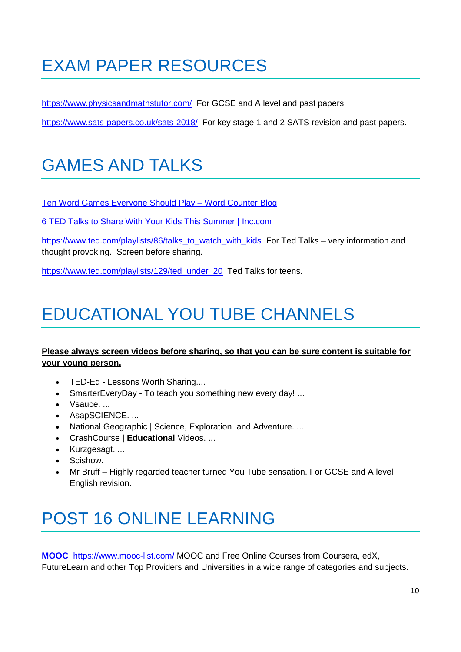## EXAM PAPER RESOURCES

<https://www.physicsandmathstutor.com/>For GCSE and A level and past papers

<https://www.sats-papers.co.uk/sats-2018/>For key stage 1 and 2 SATS revision and past papers.

## GAMES AND TALKS

[Ten Word Games Everyone Should Play –](https://wordcounter.net/blog/2016/06/22/101824_word-games.html) Word Counter Blog

[6 TED Talks to Share With Your Kids This Summer | Inc.com](https://www.inc.com/jeff-pruitt/6-ted-talks-to-share-with-your-kids-this-summer.html)

[https://www.ted.com/playlists/86/talks\\_to\\_watch\\_with\\_kids](https://www.ted.com/playlists/86/talks_to_watch_with_kids) For Ted Talks – very information and thought provoking. Screen before sharing.

[https://www.ted.com/playlists/129/ted\\_under\\_20](https://www.ted.com/playlists/129/ted_under_20) Ted Talks for teens.

## EDUCATIONAL YOU TUBE CHANNELS

#### **Please always screen videos before sharing, so that you can be sure content is suitable for your young person.**

- TED-Ed Lessons Worth Sharing....
- SmarterEveryDay To teach you something new every day! ...
- Vsauce. ...
- AsapSCIENCE. ...
- National Geographic | Science, Exploration and Adventure....
- CrashCourse | **Educational** Videos. ...
- Kurzgesagt. ...
- Scishow.
- Mr Bruff Highly regarded teacher turned You Tube sensation. For GCSE and A level English revision.

## POST 16 ONLINE LEARNING

**MOOC** <https://www.mooc-list.com/> MOOC and Free Online Courses from Coursera, edX, FutureLearn and other Top Providers and Universities in a wide range of categories and subjects.